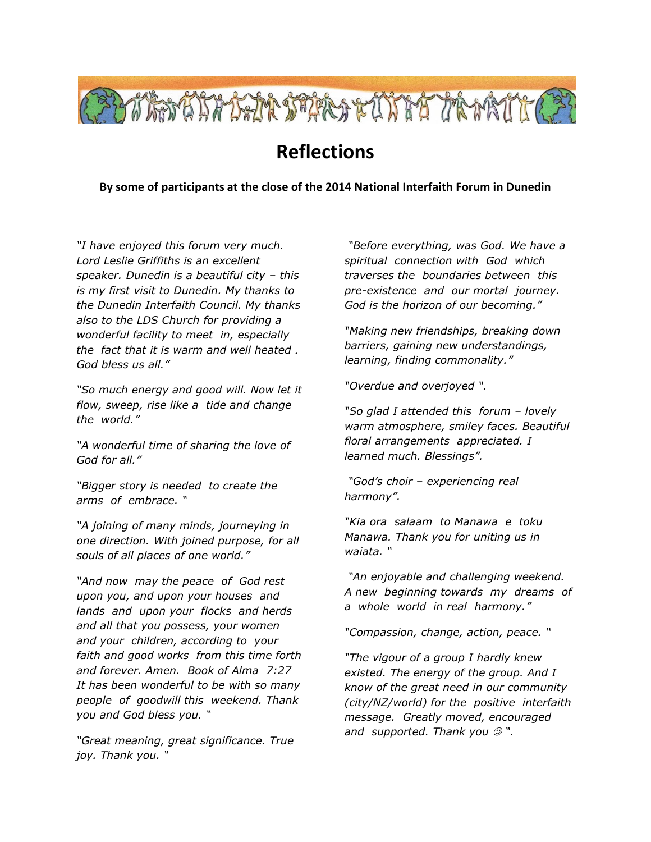

## **Reflections**

## **By some of participants at the close of the 2014 National Interfaith Forum in Dunedin**

*"I have enjoyed this forum very much. Lord Leslie Griffiths is an excellent speaker. Dunedin is a beautiful city – this is my first visit to Dunedin. My thanks to the Dunedin Interfaith Council. My thanks also to the LDS Church for providing a wonderful facility to meet in, especially the fact that it is warm and well heated . God bless us all."*

*"So much energy and good will. Now let it flow, sweep, rise like a tide and change the world."*

*"A wonderful time of sharing the love of God for all."*

*"Bigger story is needed to create the arms of embrace. "*

*"A joining of many minds, journeying in one direction. With joined purpose, for all souls of all places of one world."*

*"And now may the peace of God rest upon you, and upon your houses and lands and upon your flocks and herds and all that you possess, your women and your children, according to your faith and good works from this time forth and forever. Amen. Book of Alma 7:27 It has been wonderful to be with so many people of goodwill this weekend. Thank you and God bless you. "*

*"Great meaning, great significance. True joy. Thank you. "*

*"Before everything, was God. We have a spiritual connection with God which traverses the boundaries between this pre-existence and our mortal journey. God is the horizon of our becoming."*

*"Making new friendships, breaking down barriers, gaining new understandings, learning, finding commonality."*

*"Overdue and overjoyed ".*

*"So glad I attended this forum – lovely warm atmosphere, smiley faces. Beautiful floral arrangements appreciated. I learned much. Blessings".*

*"God's choir – experiencing real harmony".*

*"Kia ora salaam to Manawa e toku Manawa. Thank you for uniting us in waiata. "*

*"An enjoyable and challenging weekend. A new beginning towards my dreams of a whole world in real harmony."*

*"Compassion, change, action, peace. "*

*"The vigour of a group I hardly knew existed. The energy of the group. And I know of the great need in our community (city/NZ/world) for the positive interfaith message. Greatly moved, encouraged and supported. Thank you*  $\mathcal{O}$ *".*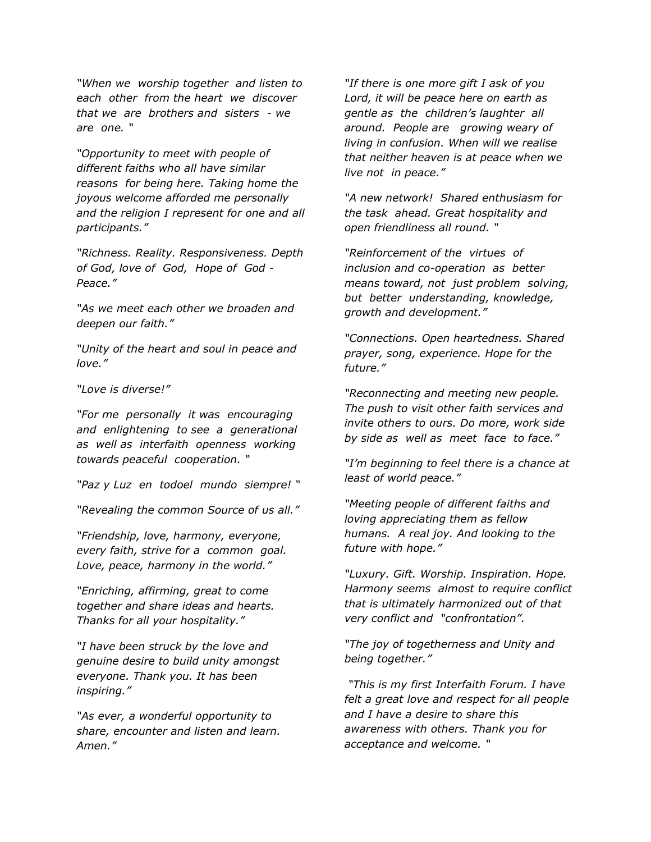*"When we worship together and listen to each other from the heart we discover that we are brothers and sisters - we are one. "*

*"Opportunity to meet with people of different faiths who all have similar reasons for being here. Taking home the joyous welcome afforded me personally and the religion I represent for one and all participants."*

*"Richness. Reality. Responsiveness. Depth of God, love of God, Hope of God - Peace."*

*"As we meet each other we broaden and deepen our faith."*

*"Unity of the heart and soul in peace and love."*

## *"Love is diverse!"*

*"For me personally it was encouraging and enlightening to see a generational as well as interfaith openness working towards peaceful cooperation. "*

*"Paz y Luz en todoel mundo siempre! "*

*"Revealing the common Source of us all."*

*"Friendship, love, harmony, everyone, every faith, strive for a common goal. Love, peace, harmony in the world."*

*"Enriching, affirming, great to come together and share ideas and hearts. Thanks for all your hospitality."*

*"I have been struck by the love and genuine desire to build unity amongst everyone. Thank you. It has been inspiring."*

*"As ever, a wonderful opportunity to share, encounter and listen and learn. Amen."* 

*"If there is one more gift I ask of you Lord, it will be peace here on earth as gentle as the children's laughter all around. People are growing weary of living in confusion. When will we realise that neither heaven is at peace when we live not in peace."*

*"A new network! Shared enthusiasm for the task ahead. Great hospitality and open friendliness all round. "*

*"Reinforcement of the virtues of inclusion and co-operation as better means toward, not just problem solving, but better understanding, knowledge, growth and development."*

*"Connections. Open heartedness. Shared prayer, song, experience. Hope for the future."*

*"Reconnecting and meeting new people. The push to visit other faith services and invite others to ours. Do more, work side by side as well as meet face to face."*

*"I'm beginning to feel there is a chance at least of world peace."*

*"Meeting people of different faiths and loving appreciating them as fellow humans. A real joy. And looking to the future with hope."*

*"Luxury. Gift. Worship. Inspiration. Hope. Harmony seems almost to require conflict that is ultimately harmonized out of that very conflict and "confrontation".*

*"The joy of togetherness and Unity and being together."*

*"This is my first Interfaith Forum. I have felt a great love and respect for all people and I have a desire to share this awareness with others. Thank you for acceptance and welcome. "*